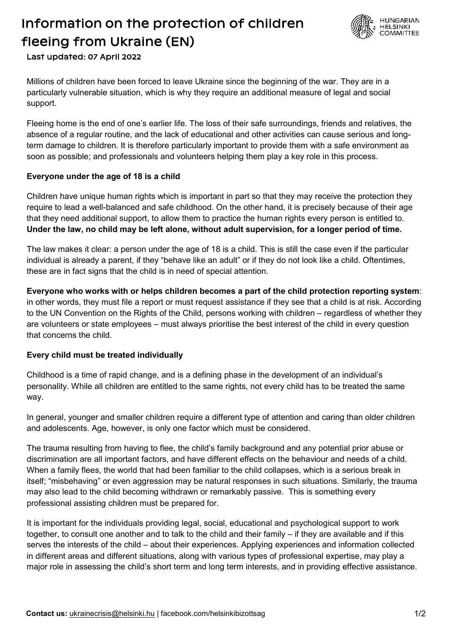## Information on the protection of children fleeing from Ukraine (EN) Last updated: 07 April 2022



Millions of children have been forced to leave Ukraine since the beginning of the war. They are in a particularly vulnerable situation, which is why they require an additional measure of legal and social support.

Fleeing home is the end of one's earlier life. The loss of their safe surroundings, friends and relatives, the absence of a regular routine, and the lack of educational and other activities can cause serious and longterm damage to children. It is therefore particularly important to provide them with a safe environment as soon as possible; and professionals and volunteers helping them play a key role in this process.

#### **Everyone under the age of 18 is a child**

Children have unique human rights which is important in part so that they may receive the protection they require to lead a well-balanced and safe childhood. On the other hand, it is precisely because of their age that they need additional support, to allow them to practice the human rights every person is entitled to. **Under the law, no child may be left alone, without adult supervision, for a longer period of time.**

The law makes it clear: a person under the age of 18 is a child. This is still the case even if the particular individual is already a parent, if they "behave like an adult" or if they do not look like a child. Oftentimes, these are in fact signs that the child is in need of special attention.

**Everyone who works with or helps children becomes a part of the child protection reporting system**: in other words, they must file a report or must request assistance if they see that a child is at risk. According to the UN Convention on the Rights of the Child, persons working with children – regardless of whether they are volunteers or state employees – must always prioritise the best interest of the child in every question that concerns the child.

#### **Every child must be treated individually**

Childhood is a time of rapid change, and is a defining phase in the development of an individual's personality. While all children are entitled to the same rights, not every child has to be treated the same way.

In general, younger and smaller children require a different type of attention and caring than older children and adolescents. Age, however, is only one factor which must be considered.

The trauma resulting from having to flee, the child's family background and any potential prior abuse or discrimination are all important factors, and have different effects on the behaviour and needs of a child. When a family flees, the world that had been familiar to the child collapses, which is a serious break in itself; "misbehaving" or even aggression may be natural responses in such situations. Similarly, the trauma may also lead to the child becoming withdrawn or remarkably passive. This is something every professional assisting children must be prepared for.

It is important for the individuals providing legal, social, educational and psychological support to work together, to consult one another and to talk to the child and their family – if they are available and if this serves the interests of the child – about their experiences. Applying experiences and information collected in different areas and different situations, along with various types of professional expertise, may play a major role in assessing the child's short term and long term interests, and in providing effective assistance.